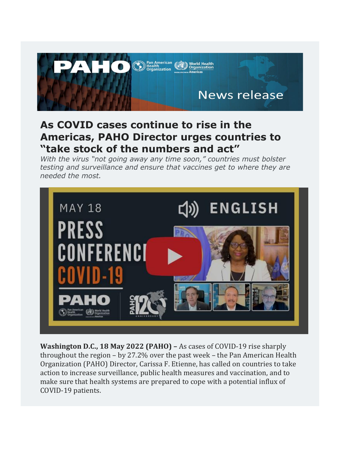

## **As COVID cases continue to rise in the Americas, PAHO Director urges countries to "take stock of the numbers and act"**

*With the virus "not going away any time soon," countries must bolster testing and surveillance and ensure that vaccines get to where they are needed the most.*



**Washington D.C., 18 May 2022 (PAHO) –** As cases of COVID-19 rise sharply throughout the region – by 27.2% over the past week – the Pan American Health Organization (PAHO) Director, Carissa F. Etienne, has called on countries to take action to increase surveillance, public health measures and vaccination, and to make sure that health systems are prepared to cope with a potential influx of COVID-19 patients.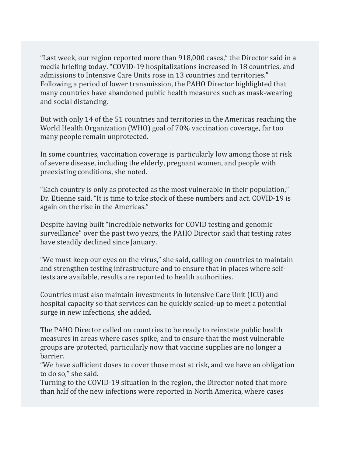"Last week, our region reported more than 918,000 cases," the Director said in a media briefing today. "COVID-19 hospitalizations increased in 18 countries, and admissions to Intensive Care Units rose in 13 countries and territories." Following a period of lower transmission, the PAHO Director highlighted that many countries have abandoned public health measures such as mask-wearing and social distancing.

But with only 14 of the 51 countries and territories in the Americas reaching the World Health Organization (WHO) goal of 70% vaccination coverage, far too many people remain unprotected.

In some countries, vaccination coverage is particularly low among those at risk of severe disease, including the elderly, pregnant women, and people with preexisting conditions, she noted.

"Each country is only as protected as the most vulnerable in their population," Dr. Etienne said. "It is time to take stock of these numbers and act. COVID-19 is again on the rise in the Americas."

Despite having built "incredible networks for COVID testing and genomic surveillance" over the past two years, the PAHO Director said that testing rates have steadily declined since January.

"We must keep our eyes on the virus," she said, calling on countries to maintain and strengthen testing infrastructure and to ensure that in places where selftests are available, results are reported to health authorities.

Countries must also maintain investments in Intensive Care Unit (ICU) and hospital capacity so that services can be quickly scaled-up to meet a potential surge in new infections, she added.

The PAHO Director called on countries to be ready to reinstate public health measures in areas where cases spike, and to ensure that the most vulnerable groups are protected, particularly now that vaccine supplies are no longer a barrier.

"We have sufficient doses to cover those most at risk, and we have an obligation to do so," she said.

Turning to the COVID-19 situation in the region, the Director noted that more than half of the new infections were reported in North America, where cases